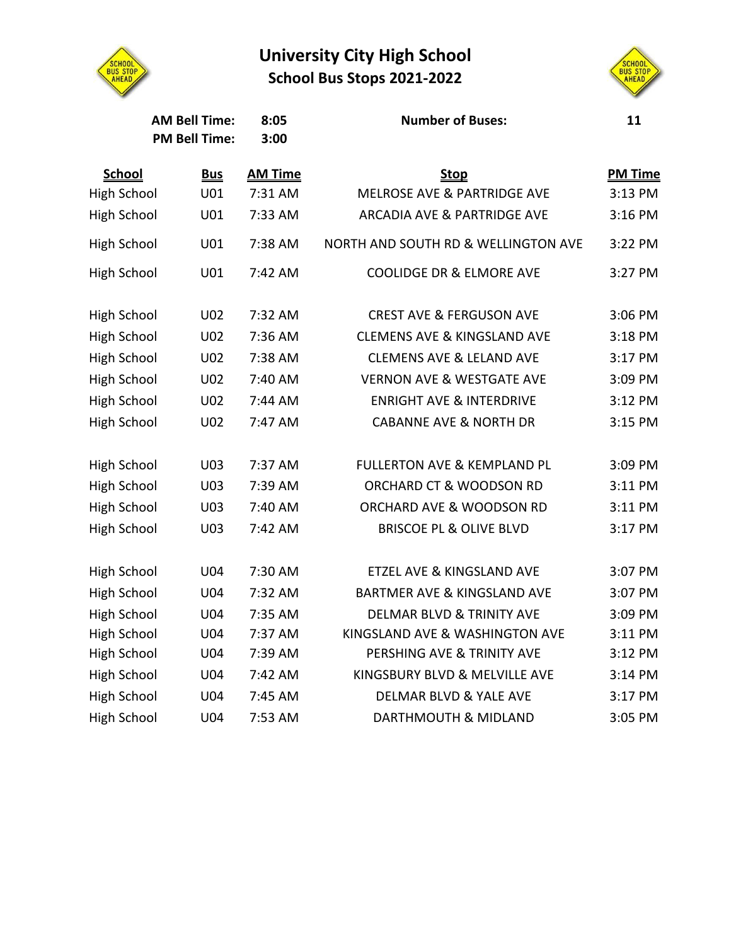

## **University City High School School Bus Stops 2021-2022**



| <b>AM Bell Time:</b><br><b>PM Bell Time:</b> |            | 8:05<br>3:00   | <b>Number of Buses:</b>                | 11             |
|----------------------------------------------|------------|----------------|----------------------------------------|----------------|
| <b>School</b>                                | <b>Bus</b> | <b>AM Time</b> | <b>Stop</b>                            | <b>PM Time</b> |
| <b>High School</b>                           | U01        | 7:31 AM        | <b>MELROSE AVE &amp; PARTRIDGE AVE</b> | 3:13 PM        |
| <b>High School</b>                           | U01        | 7:33 AM        | <b>ARCADIA AVE &amp; PARTRIDGE AVE</b> | 3:16 PM        |
| <b>High School</b>                           | U01        | 7:38 AM        | NORTH AND SOUTH RD & WELLINGTON AVE    | 3:22 PM        |
| <b>High School</b>                           | U01        | 7:42 AM        | <b>COOLIDGE DR &amp; ELMORE AVE</b>    | 3:27 PM        |
| <b>High School</b>                           | U02        | 7:32 AM        | <b>CREST AVE &amp; FERGUSON AVE</b>    | 3:06 PM        |
| <b>High School</b>                           | U02        | 7:36 AM        | <b>CLEMENS AVE &amp; KINGSLAND AVE</b> | 3:18 PM        |
| <b>High School</b>                           | U02        | 7:38 AM        | <b>CLEMENS AVE &amp; LELAND AVE</b>    | 3:17 PM        |
| <b>High School</b>                           | U02        | 7:40 AM        | <b>VERNON AVE &amp; WESTGATE AVE</b>   | 3:09 PM        |
| <b>High School</b>                           | U02        | 7:44 AM        | <b>ENRIGHT AVE &amp; INTERDRIVE</b>    | 3:12 PM        |
| <b>High School</b>                           | U02        | 7:47 AM        | <b>CABANNE AVE &amp; NORTH DR</b>      | 3:15 PM        |
| <b>High School</b>                           | U03        | 7:37 AM        | <b>FULLERTON AVE &amp; KEMPLAND PL</b> | 3:09 PM        |
| <b>High School</b>                           | U03        | 7:39 AM        | ORCHARD CT & WOODSON RD                | 3:11 PM        |
| <b>High School</b>                           | U03        | 7:40 AM        | ORCHARD AVE & WOODSON RD               | 3:11 PM        |
| <b>High School</b>                           | U03        | 7:42 AM        | <b>BRISCOE PL &amp; OLIVE BLVD</b>     | 3:17 PM        |
| <b>High School</b>                           | U04        | 7:30 AM        | ETZEL AVE & KINGSLAND AVE              | 3:07 PM        |
| <b>High School</b>                           | U04        | 7:32 AM        | <b>BARTMER AVE &amp; KINGSLAND AVE</b> | 3:07 PM        |
| <b>High School</b>                           | U04        | 7:35 AM        | <b>DELMAR BLVD &amp; TRINITY AVE</b>   | 3:09 PM        |
| <b>High School</b>                           | U04        | 7:37 AM        | KINGSLAND AVE & WASHINGTON AVE         | 3:11 PM        |
| <b>High School</b>                           | U04        | 7:39 AM        | PERSHING AVE & TRINITY AVE             | 3:12 PM        |
| <b>High School</b>                           | U04        | 7:42 AM        | KINGSBURY BLVD & MELVILLE AVE          | 3:14 PM        |
| <b>High School</b>                           | U04        | 7:45 AM        | <b>DELMAR BLVD &amp; YALE AVE</b>      | 3:17 PM        |
| <b>High School</b>                           | <b>U04</b> | 7:53 AM        | <b>DARTHMOUTH &amp; MIDLAND</b>        | 3:05 PM        |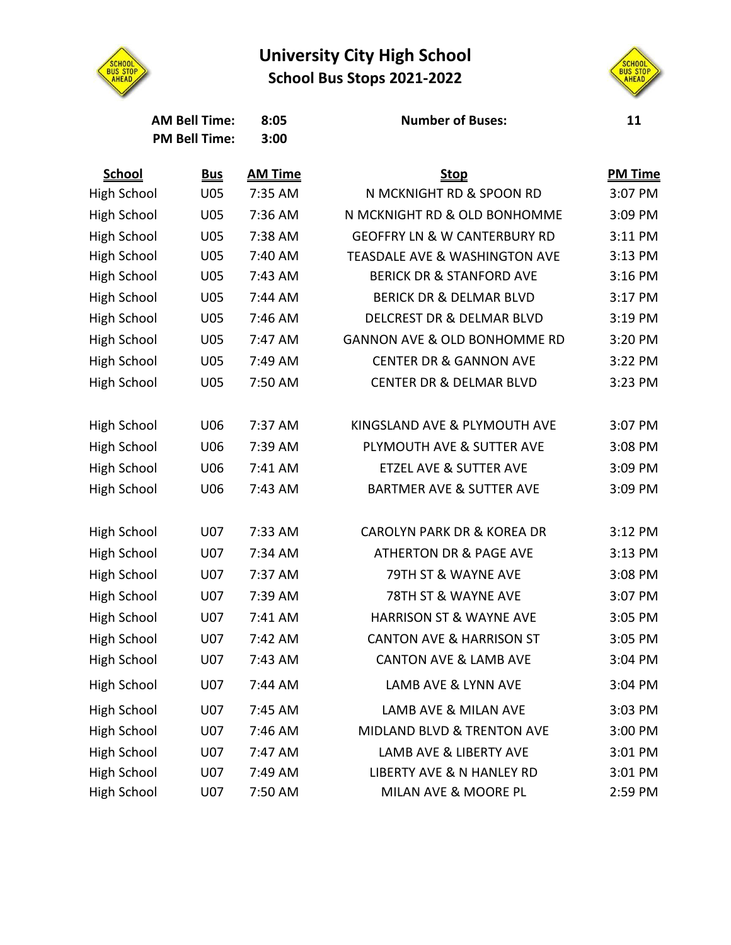## **University City High School School Bus Stops 2021-2022**





| <b>AM Bell Time:</b><br><b>PM Bell Time:</b> |            | 8:05<br>3:00   | <b>Number of Buses:</b>                  | 11             |
|----------------------------------------------|------------|----------------|------------------------------------------|----------------|
| School                                       | <u>Bus</u> | <b>AM Time</b> | <u>Stop</u>                              | <b>PM Time</b> |
| <b>High School</b>                           | U05        | 7:35 AM        | N MCKNIGHT RD & SPOON RD                 | 3:07 PM        |
| <b>High School</b>                           | U05        | 7:36 AM        | N MCKNIGHT RD & OLD BONHOMME             | 3:09 PM        |
| High School                                  | <b>U05</b> | 7:38 AM        | <b>GEOFFRY LN &amp; W CANTERBURY RD</b>  | 3:11 PM        |
| <b>High School</b>                           | U05        | 7:40 AM        | <b>TEASDALE AVE &amp; WASHINGTON AVE</b> | 3:13 PM        |
| <b>High School</b>                           | U05        | 7:43 AM        | <b>BERICK DR &amp; STANFORD AVE</b>      | 3:16 PM        |
| High School                                  | U05        | 7:44 AM        | <b>BERICK DR &amp; DELMAR BLVD</b>       | 3:17 PM        |
| High School                                  | U05        | 7:46 AM        | <b>DELCREST DR &amp; DELMAR BLVD</b>     | 3:19 PM        |
| High School                                  | U05        | 7:47 AM        | <b>GANNON AVE &amp; OLD BONHOMME RD</b>  | 3:20 PM        |
| High School                                  | <b>U05</b> | 7:49 AM        | <b>CENTER DR &amp; GANNON AVE</b>        | 3:22 PM        |
| High School                                  | U05        | 7:50 AM        | <b>CENTER DR &amp; DELMAR BLVD</b>       | 3:23 PM        |
| High School                                  | U06        | 7:37 AM        | KINGSLAND AVE & PLYMOUTH AVE             | 3:07 PM        |
| High School                                  | U06        | 7:39 AM        | PLYMOUTH AVE & SUTTER AVE                | 3:08 PM        |
| High School                                  | U06        | 7:41 AM        | <b>ETZEL AVE &amp; SUTTER AVE</b>        | 3:09 PM        |
| High School                                  | U06        | 7:43 AM        | <b>BARTMER AVE &amp; SUTTER AVE</b>      | 3:09 PM        |
| High School                                  | U07        | 7:33 AM        | <b>CAROLYN PARK DR &amp; KOREA DR</b>    | 3:12 PM        |
| <b>High School</b>                           | <b>U07</b> | 7:34 AM        | <b>ATHERTON DR &amp; PAGE AVE</b>        | 3:13 PM        |
| <b>High School</b>                           | U07        | 7:37 AM        | 79TH ST & WAYNE AVE                      | 3:08 PM        |
| <b>High School</b>                           | U07        | 7:39 AM        | 78TH ST & WAYNE AVE                      | 3:07 PM        |
| High School                                  | U07        | 7:41 AM        | <b>HARRISON ST &amp; WAYNE AVE</b>       | 3:05 PM        |
| High School                                  | U07        | 7:42 AM        | <b>CANTON AVE &amp; HARRISON ST</b>      | 3:05 PM        |
| High School                                  | U07        | 7:43 AM        | <b>CANTON AVE &amp; LAMB AVE</b>         | 3:04 PM        |
| High School                                  | U07        | 7:44 AM        | LAMB AVE & LYNN AVE                      | 3:04 PM        |
| High School                                  | U07        | 7:45 AM        | LAMB AVE & MILAN AVE                     | 3:03 PM        |
| High School                                  | U07        | 7:46 AM        | MIDLAND BLVD & TRENTON AVE               | 3:00 PM        |
| High School                                  | <b>U07</b> | 7:47 AM        | <b>LAMB AVE &amp; LIBERTY AVE</b>        | 3:01 PM        |
| High School                                  | U07        | 7:49 AM        | LIBERTY AVE & N HANLEY RD                | 3:01 PM        |
| <b>High School</b>                           | U07        | 7:50 AM        | MILAN AVE & MOORE PL                     | 2:59 PM        |